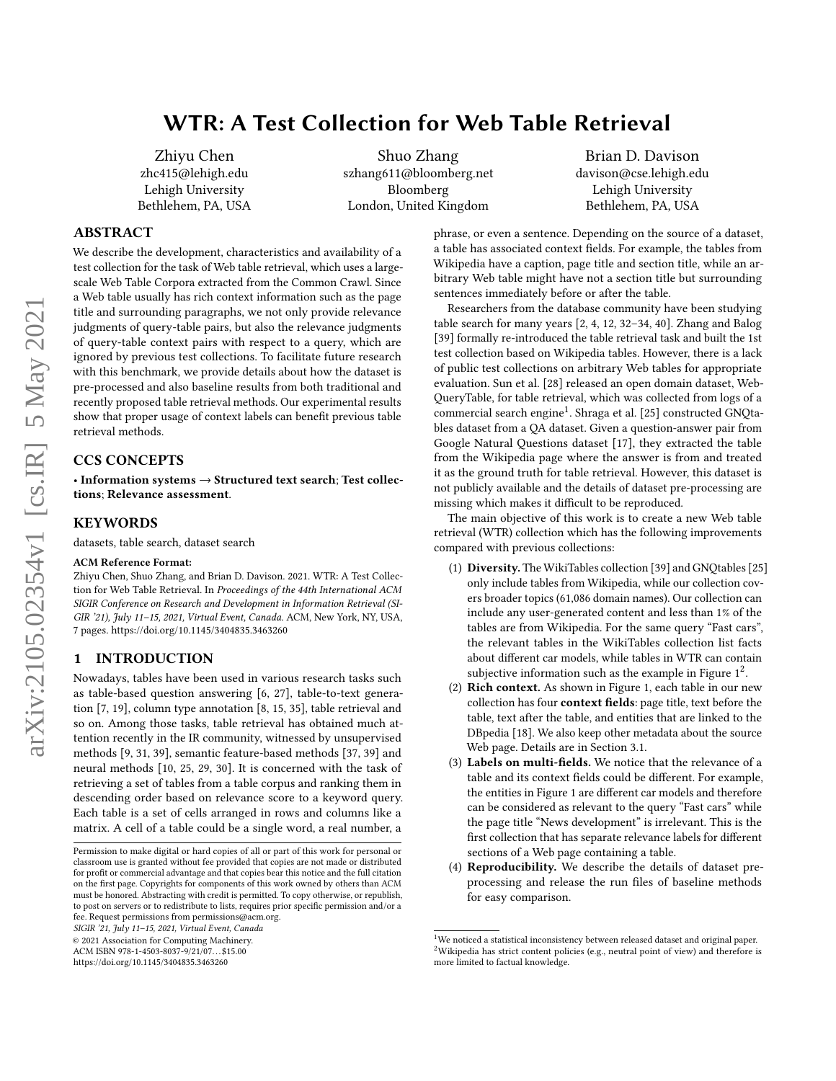# WTR: A Test Collection for Web Table Retrieval

Zhiyu Chen zhc415@lehigh.edu Lehigh University Bethlehem, PA, USA

Shuo Zhang szhang611@bloomberg.net Bloomberg London, United Kingdom

Brian D. Davison davison@cse.lehigh.edu Lehigh University Bethlehem, PA, USA

# ABSTRACT

We describe the development, characteristics and availability of a test collection for the task of Web table retrieval, which uses a largescale Web Table Corpora extracted from the Common Crawl. Since a Web table usually has rich context information such as the page title and surrounding paragraphs, we not only provide relevance judgments of query-table pairs, but also the relevance judgments of query-table context pairs with respect to a query, which are ignored by previous test collections. To facilitate future research with this benchmark, we provide details about how the dataset is pre-processed and also baseline results from both traditional and recently proposed table retrieval methods. Our experimental results show that proper usage of context labels can benefit previous table retrieval methods.

# CCS CONCEPTS

• Information systems → Structured text search; Test collections; Relevance assessment.

### KEYWORDS

datasets, table search, dataset search

#### ACM Reference Format:

Zhiyu Chen, Shuo Zhang, and Brian D. Davison. 2021. WTR: A Test Collection for Web Table Retrieval. In Proceedings of the 44th International ACM SIGIR Conference on Research and Development in Information Retrieval (SI-GIR '21), July 11–15, 2021, Virtual Event, Canada. ACM, New York, NY, USA, [7](#page-6-0) pages.<https://doi.org/10.1145/3404835.3463260>

#### 1 INTRODUCTION

Nowadays, tables have been used in various research tasks such as table-based question answering [\[6,](#page-6-1) [27\]](#page-6-2), table-to-text generation [\[7,](#page-6-3) [19\]](#page-6-4), column type annotation [\[8,](#page-6-5) [15,](#page-6-6) [35\]](#page-6-7), table retrieval and so on. Among those tasks, table retrieval has obtained much attention recently in the IR community, witnessed by unsupervised methods [\[9,](#page-6-8) [31,](#page-6-9) [39\]](#page-6-10), semantic feature-based methods [\[37,](#page-6-11) [39\]](#page-6-10) and neural methods [\[10,](#page-6-12) [25,](#page-6-13) [29,](#page-6-14) [30\]](#page-6-15). It is concerned with the task of retrieving a set of tables from a table corpus and ranking them in descending order based on relevance score to a keyword query. Each table is a set of cells arranged in rows and columns like a matrix. A cell of a table could be a single word, a real number, a

SIGIR '21, July 11–15, 2021, Virtual Event, Canada

© 2021 Association for Computing Machinery.

ACM ISBN 978-1-4503-8037-9/21/07. . . \$15.00

<https://doi.org/10.1145/3404835.3463260>

phrase, or even a sentence. Depending on the source of a dataset, a table has associated context fields. For example, the tables from Wikipedia have a caption, page title and section title, while an arbitrary Web table might have not a section title but surrounding sentences immediately before or after the table.

Researchers from the database community have been studying table search for many years [\[2,](#page-6-16) [4,](#page-6-17) [12,](#page-6-18) [32](#page-6-19)[–34,](#page-6-20) [40\]](#page-6-21). Zhang and Balog [\[39\]](#page-6-10) formally re-introduced the table retrieval task and built the 1st test collection based on Wikipedia tables. However, there is a lack of public test collections on arbitrary Web tables for appropriate evaluation. Sun et al. [\[28\]](#page-6-22) released an open domain dataset, Web-QueryTable, for table retrieval, which was collected from logs of a commercial search engine<sup>[1](#page-0-0)</sup>. Shraga et al. [\[25\]](#page-6-13) constructed GNQtables dataset from a QA dataset. Given a question-answer pair from Google Natural Questions dataset [\[17\]](#page-6-23), they extracted the table from the Wikipedia page where the answer is from and treated it as the ground truth for table retrieval. However, this dataset is not publicly available and the details of dataset pre-processing are missing which makes it difficult to be reproduced.

The main objective of this work is to create a new Web table retrieval (WTR) collection which has the following improvements compared with previous collections:

- (1) Diversity. The WikiTables collection [\[39\]](#page-6-10) and GNQtables [\[25\]](#page-6-13) only include tables from Wikipedia, while our collection covers broader topics (61,086 domain names). Our collection can include any user-generated content and less than 1% of the tables are from Wikipedia. For the same query "Fast cars", the relevant tables in the WikiTables collection list facts about different car models, while tables in WTR can contain subjective information such as the example in Figure  $1^2$  $1^2$ .
- (2) Rich context. As shown in Figure [1,](#page-1-0) each table in our new collection has four context fields: page title, text before the table, text after the table, and entities that are linked to the DBpedia [\[18\]](#page-6-24). We also keep other metadata about the source Web page. Details are in Section [3.1.](#page-2-0)
- (3) Labels on multi-fields. We notice that the relevance of a table and its context fields could be different. For example, the entities in Figure [1](#page-1-0) are different car models and therefore can be considered as relevant to the query "Fast cars" while the page title "News development" is irrelevant. This is the first collection that has separate relevance labels for different sections of a Web page containing a table.
- (4) Reproducibility. We describe the details of dataset preprocessing and release the run files of baseline methods for easy comparison.

Permission to make digital or hard copies of all or part of this work for personal or classroom use is granted without fee provided that copies are not made or distributed for profit or commercial advantage and that copies bear this notice and the full citation on the first page. Copyrights for components of this work owned by others than ACM must be honored. Abstracting with credit is permitted. To copy otherwise, or republish, to post on servers or to redistribute to lists, requires prior specific permission and/or a fee. Request permissions from permissions@acm.org.

<span id="page-0-1"></span><span id="page-0-0"></span> $^{1}$  We noticed a statistical inconsistency between released dataset and original paper.  $2$ Wikipedia has strict content policies (e.g., neutral point of view) and therefore is more limited to factual knowledge.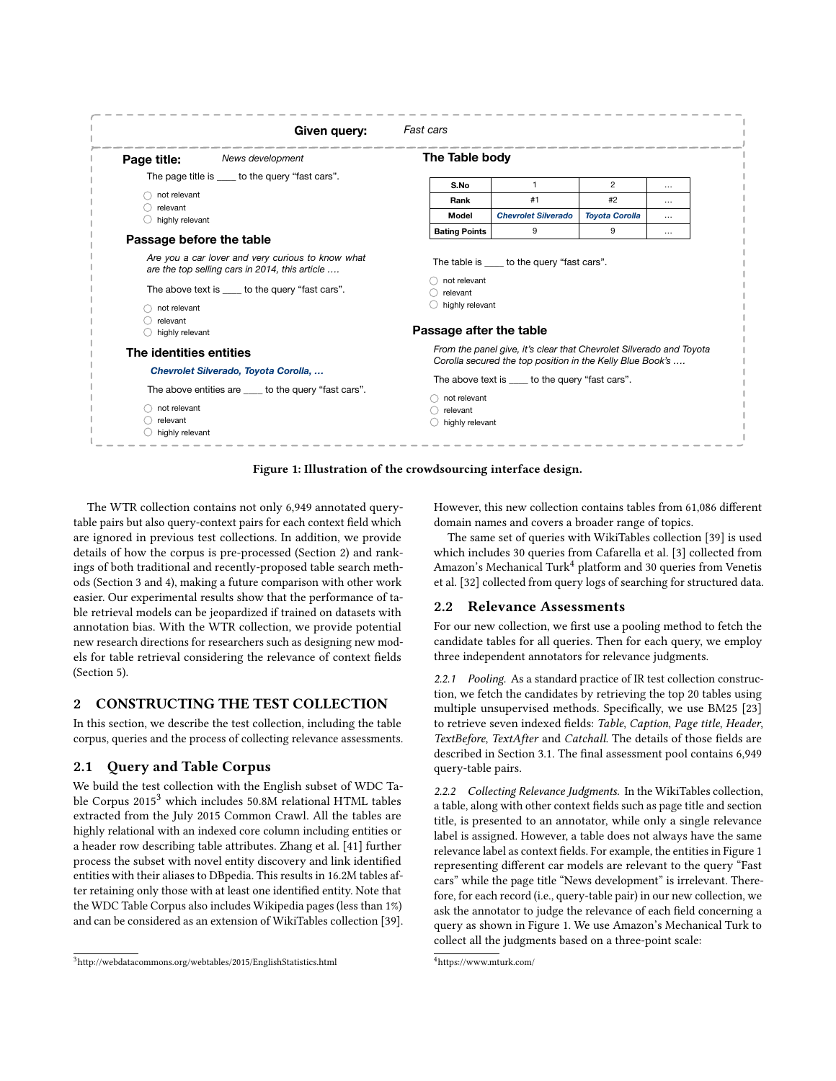<span id="page-1-0"></span>

|                             | Given query:                                                                                        | <b>Fast cars</b>                                                                                                         |                                                                     |                       |              |  |
|-----------------------------|-----------------------------------------------------------------------------------------------------|--------------------------------------------------------------------------------------------------------------------------|---------------------------------------------------------------------|-----------------------|--------------|--|
| Page title:                 | News development                                                                                    | The Table body                                                                                                           |                                                                     |                       |              |  |
| not relevant                | The page title is _____ to the query "fast cars".                                                   | S.No<br>Rank                                                                                                             | $\mathbf{1}$<br>#1                                                  | $\overline{2}$<br>#2  | $\cdots$<br> |  |
| relevant<br>highly relevant |                                                                                                     | Model                                                                                                                    | <b>Chevrolet Silverado</b>                                          | <b>Toyota Corolla</b> | $\cdots$     |  |
| Passage before the table    |                                                                                                     | <b>Bating Points</b>                                                                                                     | 9                                                                   | 9                     | $\cdots$     |  |
|                             | Are you a car lover and very curious to know what<br>are the top selling cars in 2014, this article | not relevant                                                                                                             | The table is _____ to the query "fast cars".                        |                       |              |  |
|                             | The above text is _____ to the query "fast cars".                                                   | relevant<br>$\bigcirc$ highly relevant                                                                                   |                                                                     |                       |              |  |
| not relevant<br>relevant    |                                                                                                     |                                                                                                                          |                                                                     |                       |              |  |
| highly relevant             |                                                                                                     | Passage after the table                                                                                                  |                                                                     |                       |              |  |
| The identities entities     |                                                                                                     |                                                                                                                          | From the panel give, it's clear that Chevrolet Silverado and Toyota |                       |              |  |
|                             | Chevrolet Silverado, Toyota Corolla,<br>The above entities are to the query "fast cars".            | Corolla secured the top position in the Kelly Blue Book's<br>The above text is to the query "fast cars".<br>not relevant |                                                                     |                       |              |  |
| not relevant<br>relevant    |                                                                                                     | relevant<br>highly relevant                                                                                              |                                                                     |                       |              |  |
| highly relevant             |                                                                                                     |                                                                                                                          |                                                                     |                       |              |  |

Figure 1: Illustration of the crowdsourcing interface design.

The WTR collection contains not only 6,949 annotated querytable pairs but also query-context pairs for each context field which are ignored in previous test collections. In addition, we provide details of how the corpus is pre-processed (Section [2\)](#page-1-1) and rankings of both traditional and recently-proposed table search methods (Section [3](#page-2-1) and [4\)](#page-4-0), making a future comparison with other work easier. Our experimental results show that the performance of table retrieval models can be jeopardized if trained on datasets with annotation bias. With the WTR collection, we provide potential new research directions for researchers such as designing new models for table retrieval considering the relevance of context fields (Section [5\)](#page-5-0).

### <span id="page-1-1"></span>2 CONSTRUCTING THE TEST COLLECTION

In this section, we describe the test collection, including the table corpus, queries and the process of collecting relevance assessments.

# 2.1 Query and Table Corpus

We build the test collection with the English subset of WDC Table Corpus 2015[3](#page-1-2) which includes 50.8M relational HTML tables extracted from the July 2015 Common Crawl. All the tables are highly relational with an indexed core column including entities or a header row describing table attributes. Zhang et al. [\[41\]](#page-6-25) further process the subset with novel entity discovery and link identified entities with their aliases to DBpedia. This results in 16.2M tables after retaining only those with at least one identified entity. Note that the WDC Table Corpus also includes Wikipedia pages (less than 1%) and can be considered as an extension of WikiTables collection [\[39\]](#page-6-10). However, this new collection contains tables from 61,086 different domain names and covers a broader range of topics.

The same set of queries with WikiTables collection [\[39\]](#page-6-10) is used which includes 30 queries from Cafarella et al. [\[3\]](#page-6-26) collected from Amazon's Mechanical Turk<sup>[4](#page-1-3)</sup> platform and 30 queries from Venetis et al. [\[32\]](#page-6-19) collected from query logs of searching for structured data.

### <span id="page-1-4"></span>2.2 Relevance Assessments

For our new collection, we first use a pooling method to fetch the candidate tables for all queries. Then for each query, we employ three independent annotators for relevance judgments.

2.2.1 Pooling. As a standard practice of IR test collection construction, we fetch the candidates by retrieving the top 20 tables using multiple unsupervised methods. Specifically, we use BM25 [\[23\]](#page-6-27) to retrieve seven indexed fields: Table, Caption, Page title, Header, TextBefore, TextAfter and Catchall. The details of those fields are described in Section [3.1.](#page-2-0) The final assessment pool contains 6,949 query-table pairs.

2.2.2 Collecting Relevance Judgments. In the WikiTables collection, a table, along with other context fields such as page title and section title, is presented to an annotator, while only a single relevance label is assigned. However, a table does not always have the same relevance label as context fields. For example, the entities in Figure [1](#page-1-0) representing different car models are relevant to the query "Fast cars" while the page title "News development" is irrelevant. Therefore, for each record (i.e., query-table pair) in our new collection, we ask the annotator to judge the relevance of each field concerning a query as shown in Figure [1.](#page-1-0) We use Amazon's Mechanical Turk to collect all the judgments based on a three-point scale:

<span id="page-1-2"></span><sup>3</sup>http://webdatacommons.org/webtables/2015/EnglishStatistics.html

<span id="page-1-3"></span><sup>4</sup><https://www.mturk.com/>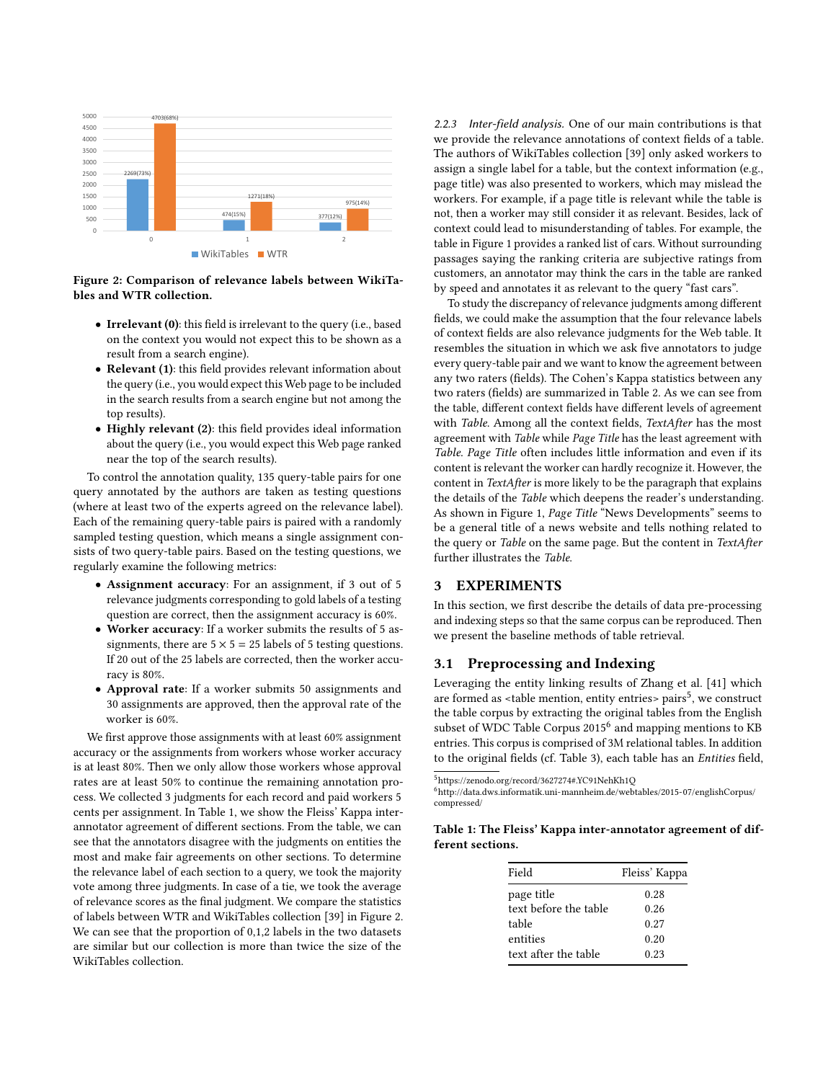<span id="page-2-3"></span>

Figure 2: Comparison of relevance labels between WikiTables and WTR collection.

- Irrelevant (0): this field is irrelevant to the query (i.e., based on the context you would not expect this to be shown as a result from a search engine).
- Relevant (1): this field provides relevant information about the query (i.e., you would expect this Web page to be included in the search results from a search engine but not among the top results).
- Highly relevant (2): this field provides ideal information about the query (i.e., you would expect this Web page ranked near the top of the search results).

To control the annotation quality, 135 query-table pairs for one query annotated by the authors are taken as testing questions (where at least two of the experts agreed on the relevance label). Each of the remaining query-table pairs is paired with a randomly sampled testing question, which means a single assignment consists of two query-table pairs. Based on the testing questions, we regularly examine the following metrics:

- Assignment accuracy: For an assignment, if 3 out of 5 relevance judgments corresponding to gold labels of a testing question are correct, then the assignment accuracy is 60%.
- Worker accuracy: If a worker submits the results of 5 assignments, there are  $5 \times 5 = 25$  labels of 5 testing questions. If 20 out of the 25 labels are corrected, then the worker accuracy is 80%.
- Approval rate: If a worker submits 50 assignments and 30 assignments are approved, then the approval rate of the worker is 60%.

We first approve those assignments with at least 60% assignment accuracy or the assignments from workers whose worker accuracy is at least 80%. Then we only allow those workers whose approval rates are at least 50% to continue the remaining annotation process. We collected 3 judgments for each record and paid workers 5 cents per assignment. In Table [1,](#page-2-2) we show the Fleiss' Kappa interannotator agreement of different sections. From the table, we can see that the annotators disagree with the judgments on entities the most and make fair agreements on other sections. To determine the relevance label of each section to a query, we took the majority vote among three judgments. In case of a tie, we took the average of relevance scores as the final judgment. We compare the statistics of labels between WTR and WikiTables collection [\[39\]](#page-6-10) in Figure [2.](#page-2-3) We can see that the proportion of 0,1,2 labels in the two datasets are similar but our collection is more than twice the size of the WikiTables collection.

2.2.3 Inter-field analysis. One of our main contributions is that we provide the relevance annotations of context fields of a table. The authors of WikiTables collection [\[39\]](#page-6-10) only asked workers to assign a single label for a table, but the context information (e.g., page title) was also presented to workers, which may mislead the workers. For example, if a page title is relevant while the table is not, then a worker may still consider it as relevant. Besides, lack of context could lead to misunderstanding of tables. For example, the table in Figure [1](#page-1-0) provides a ranked list of cars. Without surrounding passages saying the ranking criteria are subjective ratings from customers, an annotator may think the cars in the table are ranked by speed and annotates it as relevant to the query "fast cars".

To study the discrepancy of relevance judgments among different fields, we could make the assumption that the four relevance labels of context fields are also relevance judgments for the Web table. It resembles the situation in which we ask five annotators to judge every query-table pair and we want to know the agreement between any two raters (fields). The Cohen's Kappa statistics between any two raters (fields) are summarized in Table [2.](#page-3-0) As we can see from the table, different context fields have different levels of agreement with Table. Among all the context fields, TextAfter has the most agreement with Table while Page Title has the least agreement with Table. Page Title often includes little information and even if its content is relevant the worker can hardly recognize it. However, the content in TextAfter is more likely to be the paragraph that explains the details of the Table which deepens the reader's understanding. As shown in Figure [1,](#page-1-0) Page Title "News Developments" seems to be a general title of a news website and tells nothing related to the query or Table on the same page. But the content in TextAfter further illustrates the Table.

# <span id="page-2-1"></span>3 EXPERIMENTS

In this section, we first describe the details of data pre-processing and indexing steps so that the same corpus can be reproduced. Then we present the baseline methods of table retrieval.

### <span id="page-2-0"></span>3.1 Preprocessing and Indexing

Leveraging the entity linking results of Zhang et al. [\[41\]](#page-6-25) which are formed as <table mention, entity entries> pairs<sup>[5](#page-2-4)</sup>, we construct the table corpus by extracting the original tables from the English subset of WDC Table Corpus 2015<sup>[6](#page-2-5)</sup> and mapping mentions to KB entries. This corpus is comprised of 3M relational tables. In addition to the original fields (cf. Table [3\)](#page-3-1), each table has an Entities field,

<span id="page-2-4"></span> $^{5}$ <https://zenodo.org/record/3627274#.YC91NehKh1Q>

<span id="page-2-2"></span>Table 1: The Fleiss' Kappa inter-annotator agreement of different sections.

| Field                 | Fleiss' Kappa |
|-----------------------|---------------|
| page title            | 0.28          |
| text before the table | 0.26          |
| table                 | 0.27          |
| entities              | 0.20          |
| text after the table  | 0.23          |

<span id="page-2-5"></span> $^6$ [http://data.dws.informatik.uni-mannheim.de/webtables/2015-07/englishCorpus/](http://data.dws.informatik.uni-mannheim.de/webtables/2015-07/englishCorpus/compressed/) [compressed/](http://data.dws.informatik.uni-mannheim.de/webtables/2015-07/englishCorpus/compressed/)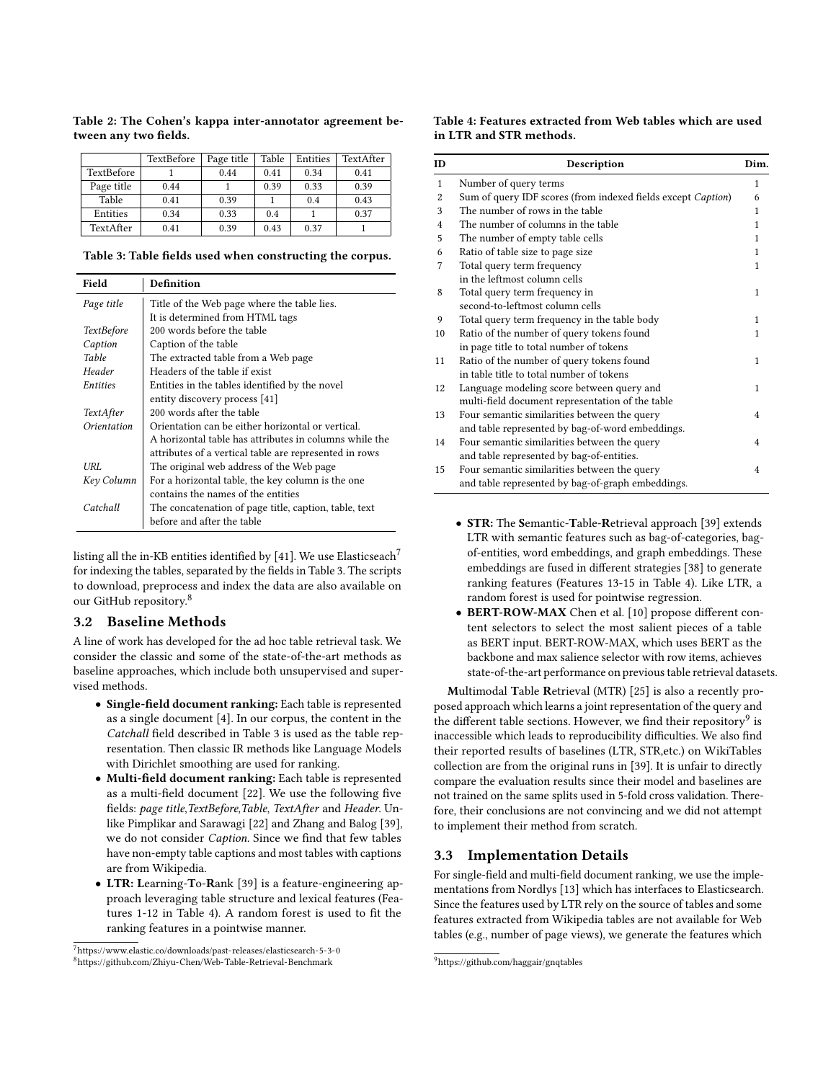|            | TextBefore | Page title | Table | Entities | TextAfter |
|------------|------------|------------|-------|----------|-----------|
| TextBefore |            | 0.44       | 0.41  | 0.34     | 0.41      |
| Page title | 0.44       |            | 0.39  | 0.33     | 0.39      |
| Table      | 0.41       | 0.39       |       | 0.4      | 0.43      |
| Entities   | 0.34       | 0.33       | 0.4   |          | 0.37      |
| TextAfter  | 0.41       | 0.39       | 0.43  | 0.37     |           |

<span id="page-3-0"></span>Table 2: The Cohen's kappa inter-annotator agreement between any two fields.

<span id="page-3-1"></span>Table 3: Table fields used when constructing the corpus.

| Field             | Definition                                             |
|-------------------|--------------------------------------------------------|
| Page title        | Title of the Web page where the table lies.            |
|                   | It is determined from HTML tags                        |
| <i>TextBefore</i> | 200 words before the table                             |
| Caption           | Caption of the table                                   |
| Table             | The extracted table from a Web page                    |
| Header            | Headers of the table if exist                          |
| Entities          | Entities in the tables identified by the novel         |
|                   | entity discovery process [41]                          |
| <i>TextAfter</i>  | 200 words after the table                              |
| Orientation       | Orientation can be either horizontal or vertical.      |
|                   | A horizontal table has attributes in columns while the |
|                   | attributes of a vertical table are represented in rows |
| URL               | The original web address of the Web page               |
| Keγ Column        | For a horizontal table, the key column is the one      |
|                   | contains the names of the entities                     |
| Catchall          | The concatenation of page title, caption, table, text  |
|                   | before and after the table                             |

listing all the in-KB entities identified by [\[41\]](#page-6-25). We use Elasticseach<sup>[7](#page-3-2)</sup> for indexing the tables, separated by the fields in Table [3.](#page-3-1) The scripts to download, preprocess and index the data are also available on our GitHub repository.<sup>[8](#page-3-3)</sup>

### 3.2 Baseline Methods

A line of work has developed for the ad hoc table retrieval task. We consider the classic and some of the state-of-the-art methods as baseline approaches, which include both unsupervised and supervised methods.

- Single-field document ranking: Each table is represented as a single document [\[4\]](#page-6-17). In our corpus, the content in the Catchall field described in Table [3](#page-3-1) is used as the table representation. Then classic IR methods like Language Models with Dirichlet smoothing are used for ranking.
- Multi-field document ranking: Each table is represented as a multi-field document [\[22\]](#page-6-28). We use the following five fields: page title,TextBefore,Table, TextAfter and Header. Unlike Pimplikar and Sarawagi [\[22\]](#page-6-28) and Zhang and Balog [\[39\]](#page-6-10), we do not consider Caption. Since we find that few tables have non-empty table captions and most tables with captions are from Wikipedia.
- LTR: Learning-To-Rank [\[39\]](#page-6-10) is a feature-engineering approach leveraging table structure and lexical features (Features 1-12 in Table [4\)](#page-3-4). A random forest is used to fit the ranking features in a pointwise manner.

### <span id="page-3-4"></span>Table 4: Features extracted from Web tables which are used in LTR and STR methods.

| <b>ID</b>      | Description                                                  | Dim.                    |
|----------------|--------------------------------------------------------------|-------------------------|
| $\mathbf{1}$   | Number of query terms                                        | 1                       |
| $\overline{2}$ | Sum of query IDF scores (from indexed fields except Caption) | 6                       |
| 3              | The number of rows in the table                              | 1                       |
| $\overline{4}$ | The number of columns in the table                           | 1                       |
| 5              | The number of empty table cells                              | 1                       |
| 6              | Ratio of table size to page size                             | 1                       |
| 7              | Total query term frequency                                   | 1                       |
|                | in the leftmost column cells                                 |                         |
| 8              | Total query term frequency in                                | 1                       |
|                | second-to-leftmost column cells                              |                         |
| 9              | Total query term frequency in the table body                 | 1                       |
| 10             | Ratio of the number of query tokens found                    | 1                       |
|                | in page title to total number of tokens                      |                         |
| 11             | Ratio of the number of query tokens found                    | 1                       |
|                | in table title to total number of tokens                     |                         |
| 12             | Language modeling score between query and                    | 1                       |
|                | multi-field document representation of the table             |                         |
| 13             | Four semantic similarities between the query                 | 4                       |
|                | and table represented by bag-of-word embeddings.             |                         |
| 14             | Four semantic similarities between the query                 | 4                       |
|                | and table represented by bag-of-entities.                    |                         |
| 15             | Four semantic similarities between the query                 | $\overline{\mathbf{4}}$ |
|                | and table represented by bag-of-graph embeddings.            |                         |

- STR: The Semantic-Table-Retrieval approach [\[39\]](#page-6-10) extends LTR with semantic features such as bag-of-categories, bagof-entities, word embeddings, and graph embeddings. These embeddings are fused in different strategies [\[38\]](#page-6-29) to generate ranking features (Features 13-15 in Table [4\)](#page-3-4). Like LTR, a random forest is used for pointwise regression.
- BERT-ROW-MAX Chen et al. [\[10\]](#page-6-12) propose different content selectors to select the most salient pieces of a table as BERT input. BERT-ROW-MAX, which uses BERT as the backbone and max salience selector with row items, achieves state-of-the-art performance on previous table retrieval datasets.

Multimodal Table Retrieval (MTR) [\[25\]](#page-6-13) is also a recently proposed approach which learns a joint representation of the query and the different table sections. However, we find their repository $^9$  $^9$  is inaccessible which leads to reproducibility difficulties. We also find their reported results of baselines (LTR, STR,etc.) on WikiTables collection are from the original runs in [\[39\]](#page-6-10). It is unfair to directly compare the evaluation results since their model and baselines are not trained on the same splits used in 5-fold cross validation. Therefore, their conclusions are not convincing and we did not attempt to implement their method from scratch.

# 3.3 Implementation Details

For single-field and multi-field document ranking, we use the implementations from Nordlys [\[13\]](#page-6-30) which has interfaces to Elasticsearch. Since the features used by LTR rely on the source of tables and some features extracted from Wikipedia tables are not available for Web tables (e.g., number of page views), we generate the features which

<span id="page-3-3"></span><span id="page-3-2"></span><sup>7</sup><https://www.elastic.co/downloads/past-releases/elasticsearch-5-3-0> <sup>8</sup><https://github.com/Zhiyu-Chen/Web-Table-Retrieval-Benchmark>

<span id="page-3-5"></span><sup>9</sup><https://github.com/haggair/gnqtables>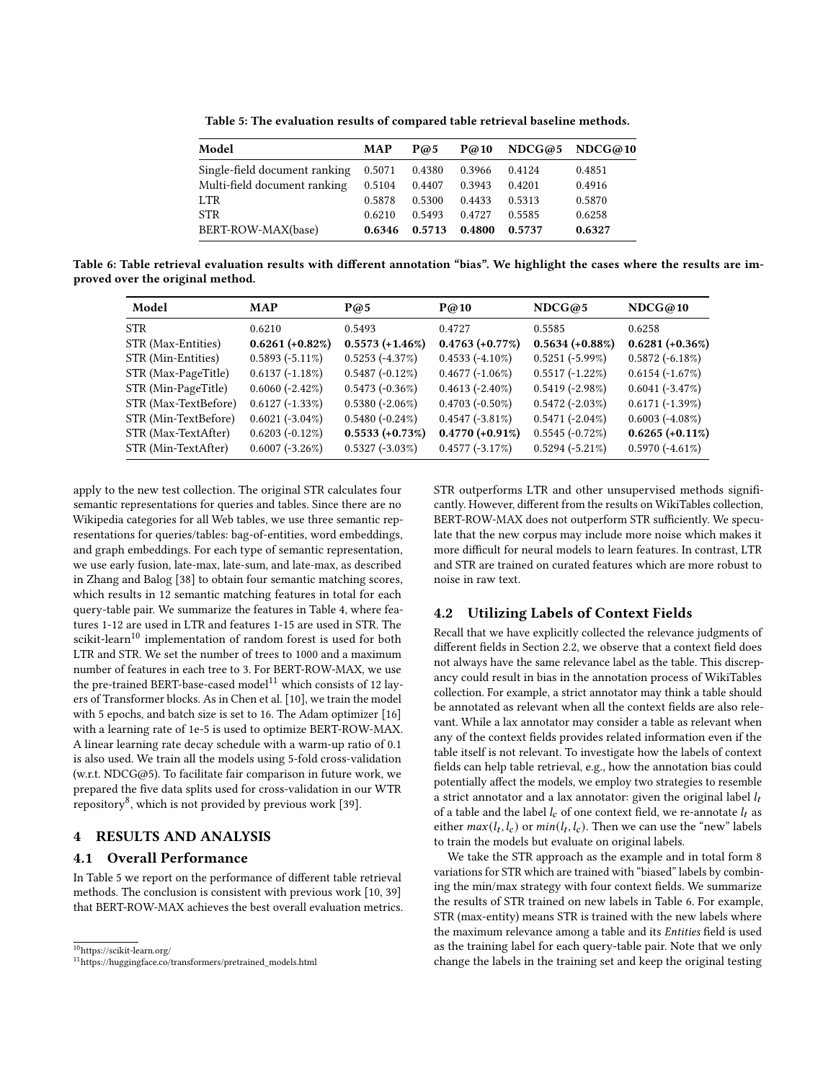| Table 5: The evaluation results of compared table retrieval baseline methods. |  |  |  |
|-------------------------------------------------------------------------------|--|--|--|
|-------------------------------------------------------------------------------|--|--|--|

<span id="page-4-3"></span>

| Model                                | <b>MAP</b> | P@5    | P@10   |        | $NDCG@5$ $NDCG@10$ |
|--------------------------------------|------------|--------|--------|--------|--------------------|
| Single-field document ranking 0.5071 |            | 0.4380 | 0.3966 | 0.4124 | 0.4851             |
| Multi-field document ranking         | 0.5104     | 0.4407 | 0.3943 | 0.4201 | 0.4916             |
| <b>LTR</b>                           | 0.5878     | 0.5300 | 0.4433 | 0.5313 | 0.5870             |
| <b>STR</b>                           | 0.6210     | 0.5493 | 0.4727 | 0.5585 | 0.6258             |
| BERT-ROW-MAX(base)                   | 0.6346     | 0.5713 | 0.4800 | 0.5737 | 0.6327             |

<span id="page-4-4"></span>Table 6: Table retrieval evaluation results with different annotation "bias". We highlight the cases where the results are improved over the original method.

| Model                | <b>MAP</b>         | P@5                | P@10               | NDCG@5             | NDCG@10            |
|----------------------|--------------------|--------------------|--------------------|--------------------|--------------------|
| <b>STR</b>           | 0.6210             | 0.5493             | 0.4727             | 0.5585             | 0.6258             |
| STR (Max-Entities)   | $0.6261 (+0.82\%)$ | $0.5573 (+1.46\%)$ | $0.4763 (+0.77\%)$ | $0.5634 (+0.88\%)$ | $0.6281 (+0.36\%)$ |
| STR (Min-Entities)   | $0.5893(-5.11\%)$  | $0.5253(-4.37%)$   | $0.4533(-4.10\%)$  | $0.5251(-5.99\%)$  | $0.5872(-6.18\%)$  |
| STR (Max-PageTitle)  | $0.6137(-1.18\%)$  | $0.5487(-0.12\%)$  | $0.4677(-1.06\%)$  | $0.5517(-1.22\%)$  | $0.6154(-1.67%)$   |
| STR (Min-PageTitle)  | $0.6060(-2.42\%)$  | $0.5473(-0.36\%)$  | $0.4613(-2.40\%)$  | $0.5419(-2.98\%)$  | $0.6041(-3.47\%)$  |
| STR (Max-TextBefore) | $0.6127(-1.33\%)$  | $0.5380(-2.06\%)$  | $0.4703(-0.50\%)$  | $0.5472(-2.03\%)$  | $0.6171(-1.39%)$   |
| STR (Min-TextBefore) | $0.6021(-3.04\%)$  | $0.5480(-0.24\%)$  | $0.4547(-3.81\%)$  | $0.5471(-2.04\%)$  | $0.6003(-4.08\%)$  |
| STR (Max-TextAfter)  | $0.6203(-0.12\%)$  | $0.5533 (+0.73%)$  | $0.4770 (+0.91\%)$ | $0.5545(-0.72\%)$  | $0.6265 (+0.11\%)$ |
| STR (Min-TextAfter)  | $0.6007(-3.26\%)$  | $0.5327(-3.03\%)$  | $0.4577(-3.17%)$   | $0.5294(-5.21\%)$  | $0.5970(-4.61\%)$  |

apply to the new test collection. The original STR calculates four semantic representations for queries and tables. Since there are no Wikipedia categories for all Web tables, we use three semantic representations for queries/tables: bag-of-entities, word embeddings, and graph embeddings. For each type of semantic representation, we use early fusion, late-max, late-sum, and late-max, as described in Zhang and Balog [\[38\]](#page-6-29) to obtain four semantic matching scores, which results in 12 semantic matching features in total for each query-table pair. We summarize the features in Table [4,](#page-3-4) where features 1-12 are used in LTR and features 1-15 are used in STR. The scikit-learn<sup>[10](#page-4-1)</sup> implementation of random forest is used for both LTR and STR. We set the number of trees to 1000 and a maximum number of features in each tree to 3. For BERT-ROW-MAX, we use the pre-trained BERT-base-cased model<sup>[11](#page-4-2)</sup> which consists of 12 layers of Transformer blocks. As in Chen et al. [\[10\]](#page-6-12), we train the model with 5 epochs, and batch size is set to 16. The Adam optimizer [\[16\]](#page-6-31) with a learning rate of 1e-5 is used to optimize BERT-ROW-MAX. A linear learning rate decay schedule with a warm-up ratio of 0.1 is also used. We train all the models using 5-fold cross-validation (w.r.t. NDCG@5). To facilitate fair comparison in future work, we prepared the five data splits used for cross-validation in our WTR repository $^8$  $^8$ , which is not provided by previous work [\[39\]](#page-6-10).

# <span id="page-4-0"></span>4 RESULTS AND ANALYSIS

# 4.1 Overall Performance

In Table [5](#page-4-3) we report on the performance of different table retrieval methods. The conclusion is consistent with previous work [\[10,](#page-6-12) [39\]](#page-6-10) that BERT-ROW-MAX achieves the best overall evaluation metrics.

<span id="page-4-1"></span> $\rm ^{10}$  https://scikit-learn.org/

STR outperforms LTR and other unsupervised methods significantly. However, different from the results on WikiTables collection, BERT-ROW-MAX does not outperform STR sufficiently. We speculate that the new corpus may include more noise which makes it more difficult for neural models to learn features. In contrast, LTR and STR are trained on curated features which are more robust to noise in raw text.

# <span id="page-4-5"></span>4.2 Utilizing Labels of Context Fields

Recall that we have explicitly collected the relevance judgments of different fields in Section [2.2,](#page-1-4) we observe that a context field does not always have the same relevance label as the table. This discrepancy could result in bias in the annotation process of WikiTables collection. For example, a strict annotator may think a table should be annotated as relevant when all the context fields are also relevant. While a lax annotator may consider a table as relevant when any of the context fields provides related information even if the table itself is not relevant. To investigate how the labels of context fields can help table retrieval, e.g., how the annotation bias could potentially affect the models, we employ two strategies to resemble a strict annotator and a lax annotator: given the original label  $l_t$ of a table and the label  $l_c$  of one context field, we re-annotate  $l_t$  as either  $max(l_t, l_c)$  or  $min(l_t, l_c)$ . Then we can use the "new" labels to train the models but evaluate on original labels.

We take the STR approach as the example and in total form 8 variations for STR which are trained with "biased" labels by combining the min/max strategy with four context fields. We summarize the results of STR trained on new labels in Table [6.](#page-4-4) For example, STR (max-entity) means STR is trained with the new labels where the maximum relevance among a table and its Entities field is used as the training label for each query-table pair. Note that we only change the labels in the training set and keep the original testing

<span id="page-4-2"></span><sup>11</sup>[https://huggingface.co/transformers/pretrained\\_models.](https://huggingface.co/transformers/pretrained_models)html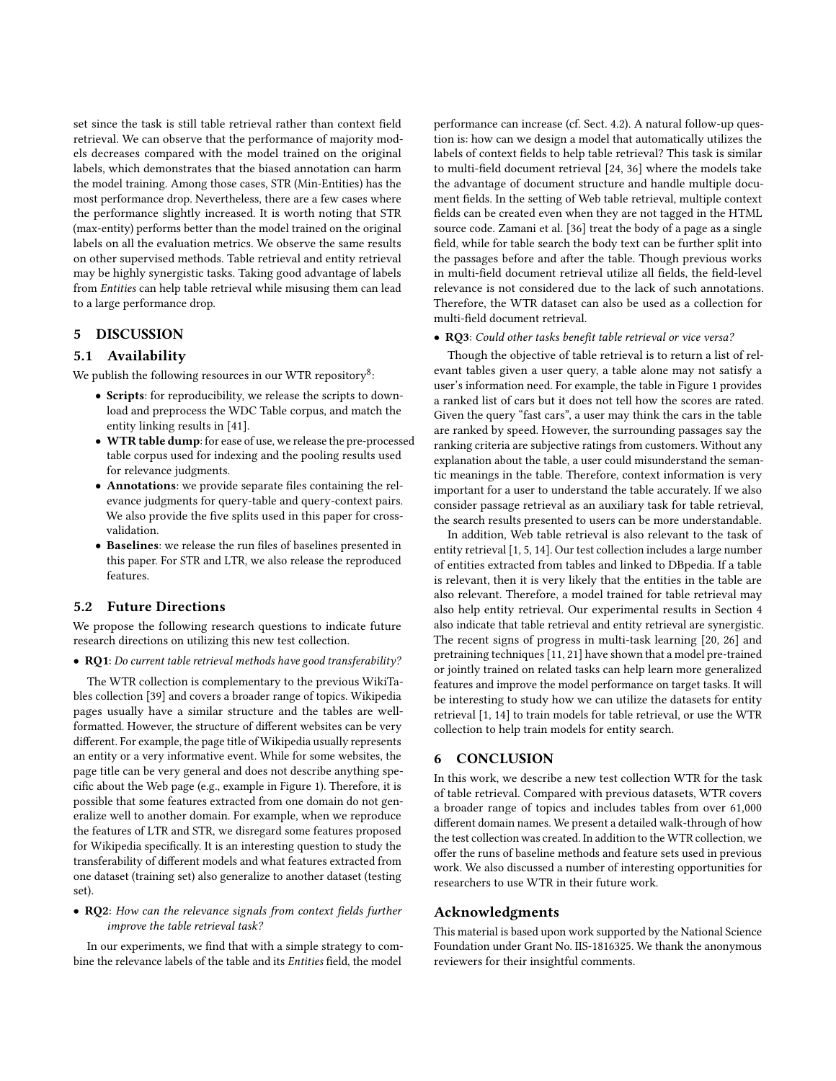set since the task is still table retrieval rather than context field retrieval. We can observe that the performance of majority models decreases compared with the model trained on the original labels, which demonstrates that the biased annotation can harm the model training. Among those cases, STR (Min-Entities) has the most performance drop. Nevertheless, there are a few cases where the performance slightly increased. It is worth noting that STR (max-entity) performs better than the model trained on the original labels on all the evaluation metrics. We observe the same results on other supervised methods. Table retrieval and entity retrieval may be highly synergistic tasks. Taking good advantage of labels from Entities can help table retrieval while misusing them can lead to a large performance drop.

# <span id="page-5-0"></span>5 DISCUSSION

### 5.1 Availability

We publish the following resources in our WTR repository $^8\! :$  $^8\! :$  $^8\! :$ 

- Scripts: for reproducibility, we release the scripts to download and preprocess the WDC Table corpus, and match the entity linking results in [\[41\]](#page-6-25).
- WTR table dump: for ease of use, we release the pre-processed table corpus used for indexing and the pooling results used for relevance judgments.
- Annotations: we provide separate files containing the relevance judgments for query-table and query-context pairs. We also provide the five splits used in this paper for crossvalidation.
- Baselines: we release the run files of baselines presented in this paper. For STR and LTR, we also release the reproduced features.

# 5.2 Future Directions

We propose the following research questions to indicate future research directions on utilizing this new test collection.

• RQ1: Do current table retrieval methods have good transferability?

The WTR collection is complementary to the previous WikiTables collection [\[39\]](#page-6-10) and covers a broader range of topics. Wikipedia pages usually have a similar structure and the tables are wellformatted. However, the structure of different websites can be very different. For example, the page title of Wikipedia usually represents an entity or a very informative event. While for some websites, the page title can be very general and does not describe anything specific about the Web page (e.g., example in Figure [1\)](#page-1-0). Therefore, it is possible that some features extracted from one domain do not generalize well to another domain. For example, when we reproduce the features of LTR and STR, we disregard some features proposed for Wikipedia specifically. It is an interesting question to study the transferability of different models and what features extracted from one dataset (training set) also generalize to another dataset (testing set).

### • RQ2: How can the relevance signals from context fields further improve the table retrieval task?

In our experiments, we find that with a simple strategy to combine the relevance labels of the table and its Entities field, the model

performance can increase (cf. Sect. [4.2\)](#page-4-5). A natural follow-up question is: how can we design a model that automatically utilizes the labels of context fields to help table retrieval? This task is similar to multi-field document retrieval [\[24,](#page-6-32) [36\]](#page-6-33) where the models take the advantage of document structure and handle multiple document fields. In the setting of Web table retrieval, multiple context fields can be created even when they are not tagged in the HTML source code. Zamani et al. [\[36\]](#page-6-33) treat the body of a page as a single field, while for table search the body text can be further split into the passages before and after the table. Though previous works in multi-field document retrieval utilize all fields, the field-level relevance is not considered due to the lack of such annotations. Therefore, the WTR dataset can also be used as a collection for multi-field document retrieval.

#### • RQ3: Could other tasks benefit table retrieval or vice versa?

Though the objective of table retrieval is to return a list of relevant tables given a user query, a table alone may not satisfy a user's information need. For example, the table in Figure [1](#page-1-0) provides a ranked list of cars but it does not tell how the scores are rated. Given the query "fast cars", a user may think the cars in the table are ranked by speed. However, the surrounding passages say the ranking criteria are subjective ratings from customers. Without any explanation about the table, a user could misunderstand the semantic meanings in the table. Therefore, context information is very important for a user to understand the table accurately. If we also consider passage retrieval as an auxiliary task for table retrieval, the search results presented to users can be more understandable.

In addition, Web table retrieval is also relevant to the task of entity retrieval [\[1,](#page-6-34) [5,](#page-6-35) [14\]](#page-6-36). Our test collection includes a large number of entities extracted from tables and linked to DBpedia. If a table is relevant, then it is very likely that the entities in the table are also relevant. Therefore, a model trained for table retrieval may also help entity retrieval. Our experimental results in Section [4](#page-4-0) also indicate that table retrieval and entity retrieval are synergistic. The recent signs of progress in multi-task learning [\[20,](#page-6-37) [26\]](#page-6-38) and pretraining techniques [\[11,](#page-6-39) [21\]](#page-6-40) have shown that a model pre-trained or jointly trained on related tasks can help learn more generalized features and improve the model performance on target tasks. It will be interesting to study how we can utilize the datasets for entity retrieval [\[1,](#page-6-34) [14\]](#page-6-36) to train models for table retrieval, or use the WTR collection to help train models for entity search.

# 6 CONCLUSION

In this work, we describe a new test collection WTR for the task of table retrieval. Compared with previous datasets, WTR covers a broader range of topics and includes tables from over 61,000 different domain names. We present a detailed walk-through of how the test collection was created. In addition to the WTR collection, we offer the runs of baseline methods and feature sets used in previous work. We also discussed a number of interesting opportunities for researchers to use WTR in their future work.

# Acknowledgments

This material is based upon work supported by the National Science Foundation under Grant No. IIS-1816325. We thank the anonymous reviewers for their insightful comments.